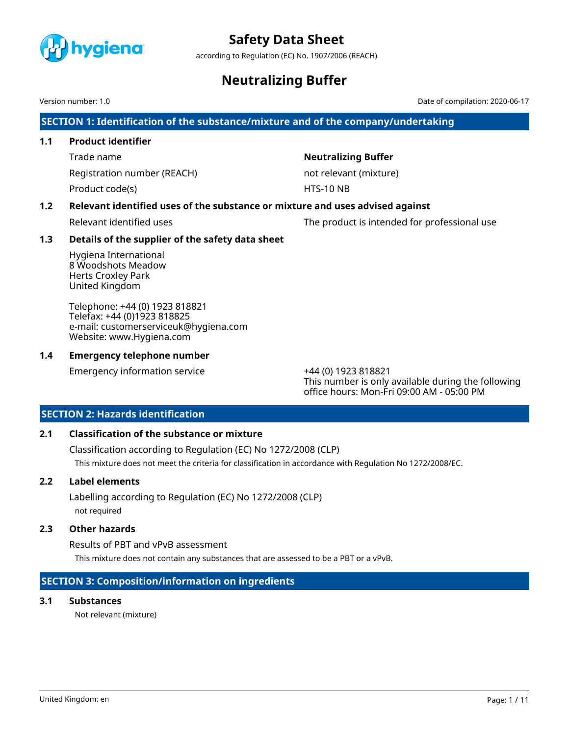

according to Regulation (EC) No. 1907/2006 (REACH)

# **Neutralizing Buffer**

Version number: 1.0 Date of compilation: 2020-06-17

**SECTION 1: Identification of the substance/mixture and of the company/undertaking**

# **1.1 Product identifier**

Trade name **Neutralizing Buffer**

Registration number (REACH) not relevant (mixture)

Product code(s) and the extent of the HTS-10 NB

# **1.2 Relevant identified uses of the substance or mixture and uses advised against**

Relevant identified uses The product is intended for professional use

# **1.3 Details of the supplier of the safety data sheet**

Hygiena International 8 Woodshots Meadow Herts Croxley Park United Kingdom

Telephone: +44 (0) 1923 818821 Telefax: +44 (0)1923 818825 e-mail: customerserviceuk@hygiena.com Website: www.Hygiena.com

# **1.4 Emergency telephone number**

Emergency information service +44 (0) 1923 818821

This number is only available during the following office hours: Mon-Fri 09:00 AM - 05:00 PM

# **SECTION 2: Hazards identification**

# **2.1 Classification of the substance or mixture**

Classification according to Regulation (EC) No 1272/2008 (CLP) This mixture does not meet the criteria for classification in accordance with Regulation No 1272/2008/EC.

# **2.2 Label elements**

Labelling according to Regulation (EC) No 1272/2008 (CLP) not required

# **2.3 Other hazards**

Results of PBT and vPvB assessment This mixture does not contain any substances that are assessed to be a PBT or a vPvB.

# **SECTION 3: Composition/information on ingredients**

# **3.1 Substances**

Not relevant (mixture)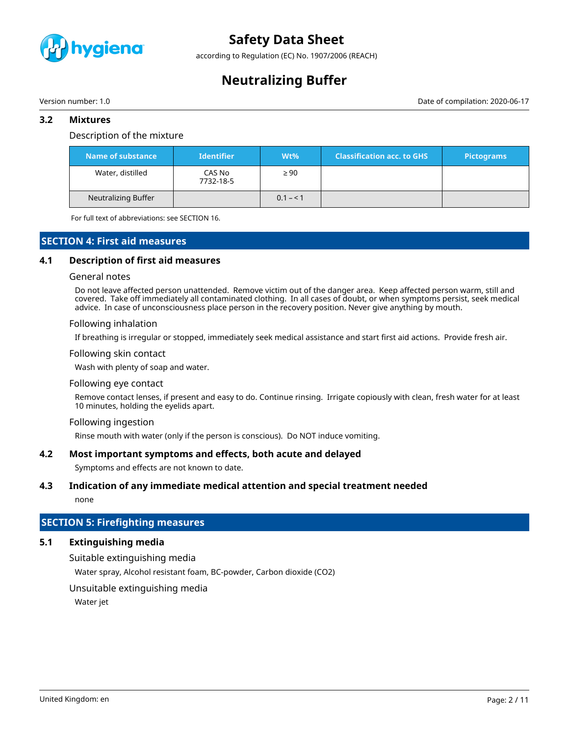

according to Regulation (EC) No. 1907/2006 (REACH)

# **Neutralizing Buffer**

Version number: 1.0 Date of compilation: 2020-06-17

# **3.2 Mixtures**

## Description of the mixture

| Name of substance   | <b>Identifier</b>   | $Wt\%$    | <b>Classification acc. to GHS</b> | <b>Pictograms</b> |
|---------------------|---------------------|-----------|-----------------------------------|-------------------|
| Water, distilled    | CAS No<br>7732-18-5 | $\geq 90$ |                                   |                   |
| Neutralizing Buffer |                     | $0.1 - 1$ |                                   |                   |

For full text of abbreviations: see SECTION 16.

# **SECTION 4: First aid measures**

## **4.1 Description of first aid measures**

### General notes

Do not leave affected person unattended. Remove victim out of the danger area. Keep affected person warm, still and covered. Take off immediately all contaminated clothing. In all cases of doubt, or when symptoms persist, seek medical advice. In case of unconsciousness place person in the recovery position. Never give anything by mouth.

### Following inhalation

If breathing is irregular or stopped, immediately seek medical assistance and start first aid actions. Provide fresh air.

### Following skin contact

Wash with plenty of soap and water.

### Following eye contact

Remove contact lenses, if present and easy to do. Continue rinsing. Irrigate copiously with clean, fresh water for at least 10 minutes, holding the eyelids apart.

### Following ingestion

Rinse mouth with water (only if the person is conscious). Do NOT induce vomiting.

# **4.2 Most important symptoms and effects, both acute and delayed**

Symptoms and effects are not known to date.

# **4.3 Indication of any immediate medical attention and special treatment needed**

none

# **SECTION 5: Firefighting measures**

# **5.1 Extinguishing media**

Suitable extinguishing media Water spray, Alcohol resistant foam, BC-powder, Carbon dioxide (CO2)

# Unsuitable extinguishing media

Water jet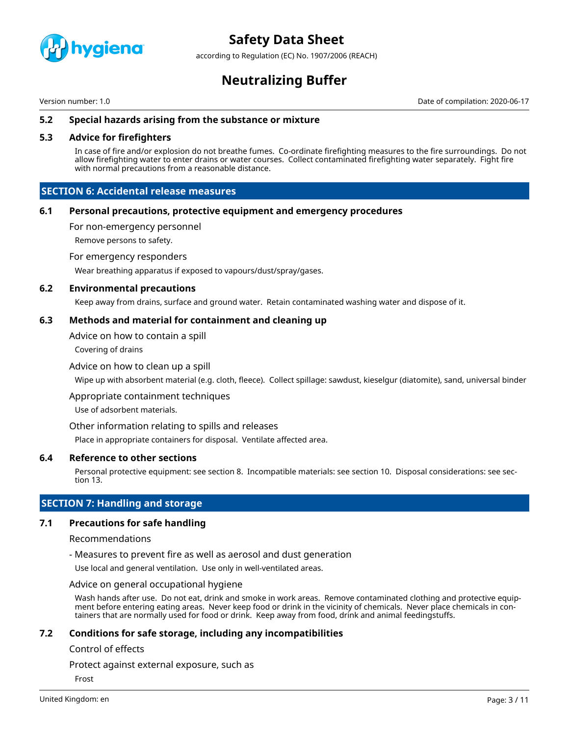

according to Regulation (EC) No. 1907/2006 (REACH)

# **Neutralizing Buffer**

Version number: 1.0 Date of compilation: 2020-06-17

# **5.2 Special hazards arising from the substance or mixture**

# **5.3 Advice for firefighters**

In case of fire and/or explosion do not breathe fumes. Co-ordinate firefighting measures to the fire surroundings. Do not allow firefighting water to enter drains or water courses. Collect contaminated firefighting water separately. Fight fire with normal precautions from a reasonable distance.

# **SECTION 6: Accidental release measures**

# **6.1 Personal precautions, protective equipment and emergency procedures**

For non-emergency personnel

Remove persons to safety.

For emergency responders

Wear breathing apparatus if exposed to vapours/dust/spray/gases.

## **6.2 Environmental precautions**

Keep away from drains, surface and ground water. Retain contaminated washing water and dispose of it.

## **6.3 Methods and material for containment and cleaning up**

Advice on how to contain a spill

Covering of drains

## Advice on how to clean up a spill

Wipe up with absorbent material (e.g. cloth, fleece). Collect spillage: sawdust, kieselgur (diatomite), sand, universal binder

Appropriate containment techniques

Use of adsorbent materials.

Other information relating to spills and releases

Place in appropriate containers for disposal. Ventilate affected area.

# **6.4 Reference to other sections**

Personal protective equipment: see section 8. Incompatible materials: see section 10. Disposal considerations: see section 13.

# **SECTION 7: Handling and storage**

# **7.1 Precautions for safe handling**

### Recommendations

- Measures to prevent fire as well as aerosol and dust generation

Use local and general ventilation. Use only in well-ventilated areas.

Advice on general occupational hygiene

Wash hands after use. Do not eat, drink and smoke in work areas. Remove contaminated clothing and protective equipment before entering eating areas. Never keep food or drink in the vicinity of chemicals. Never place chemicals in containers that are normally used for food or drink. Keep away from food, drink and animal feedingstuffs.

# **7.2 Conditions for safe storage, including any incompatibilities**

## Control of effects

Protect against external exposure, such as

Frost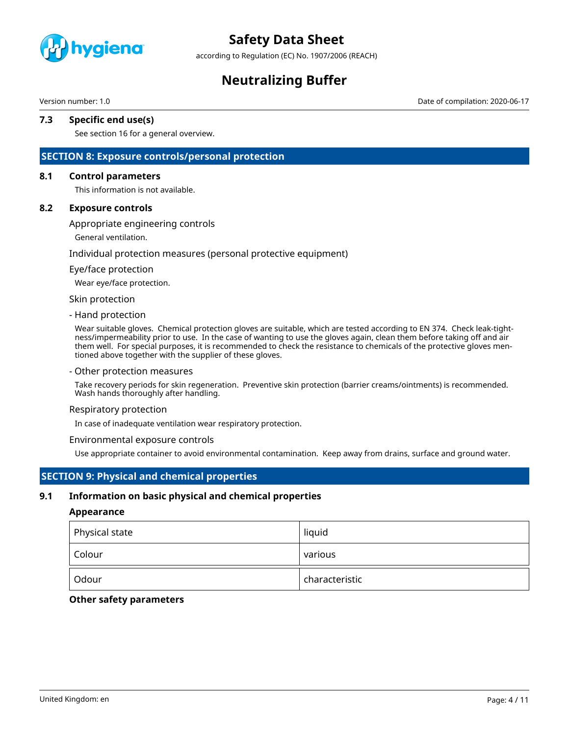

according to Regulation (EC) No. 1907/2006 (REACH)

# **Neutralizing Buffer**

Version number: 1.0 Date of compilation: 2020-06-17

## **7.3 Specific end use(s)**

See section 16 for a general overview.

# **SECTION 8: Exposure controls/personal protection**

### **8.1 Control parameters**

This information is not available.

### **8.2 Exposure controls**

### Appropriate engineering controls

General ventilation.

### Individual protection measures (personal protective equipment)

### Eye/face protection

Wear eye/face protection.

### Skin protection

### - Hand protection

Wear suitable gloves. Chemical protection gloves are suitable, which are tested according to EN 374. Check leak-tightness/impermeability prior to use. In the case of wanting to use the gloves again, clean them before taking off and air them well. For special purposes, it is recommended to check the resistance to chemicals of the protective gloves mentioned above together with the supplier of these gloves.

### - Other protection measures

Take recovery periods for skin regeneration. Preventive skin protection (barrier creams/ointments) is recommended. Wash hands thoroughly after handling.

### Respiratory protection

In case of inadequate ventilation wear respiratory protection.

### Environmental exposure controls

Use appropriate container to avoid environmental contamination. Keep away from drains, surface and ground water.

# **SECTION 9: Physical and chemical properties**

## **9.1 Information on basic physical and chemical properties**

### **Appearance**

| Physical state | liquid         |
|----------------|----------------|
| Colour         | various        |
| Odour          | characteristic |

## **Other safety parameters**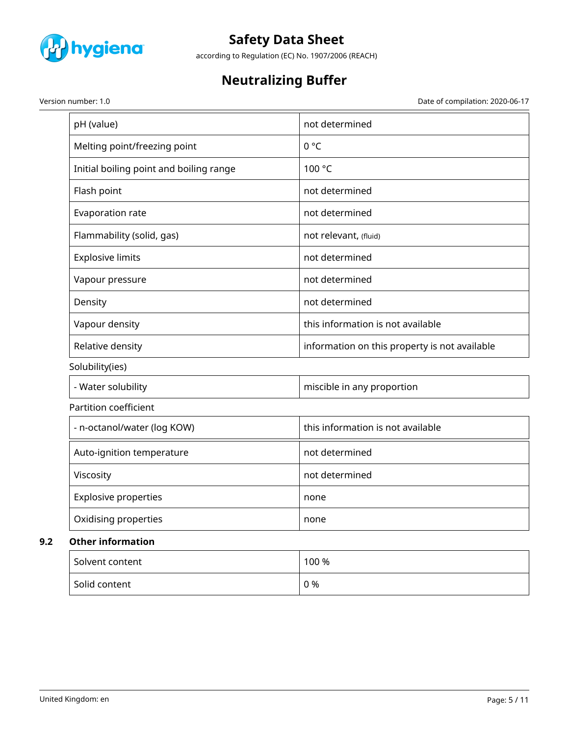

according to Regulation (EC) No. 1907/2006 (REACH)

# **Neutralizing Buffer**

Version number: 1.0 Date of compilation: 2020-06-17

| pH (value)                                            | not determined                                |
|-------------------------------------------------------|-----------------------------------------------|
| Melting point/freezing point                          | $0^{\circ}C$                                  |
| Initial boiling point and boiling range               | 100 °C                                        |
| Flash point                                           | not determined                                |
| Evaporation rate                                      | not determined                                |
| Flammability (solid, gas)                             | not relevant, (fluid)                         |
| <b>Explosive limits</b>                               | not determined                                |
| Vapour pressure                                       | not determined                                |
| Density                                               | not determined                                |
| Vapour density                                        | this information is not available             |
| Relative density                                      | information on this property is not available |
| Solubility(ies)                                       |                                               |
| - Water solubility                                    | miscible in any proportion                    |
| Partition coefficient                                 |                                               |
| - n-octanol/water (log KOW)                           | this information is not available             |
| Auto-ignition temperature                             | not determined                                |
| Viscosity                                             | not determined                                |
| <b>Explosive properties</b>                           | none                                          |
| Oxidising properties                                  | none                                          |
| <b>Other information</b>                              |                                               |
| $\mathcal{C}$ and the set of the set of $\mathcal{C}$ | 100y                                          |

| Solvent content | 100 % |
|-----------------|-------|
| Solid content   | 0 %   |

**9.2**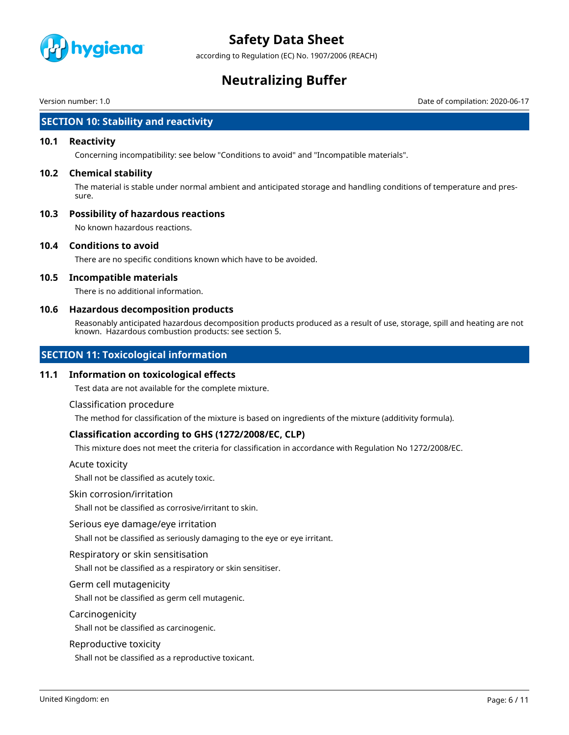

according to Regulation (EC) No. 1907/2006 (REACH)

# **Neutralizing Buffer**

Version number: 1.0 Date of compilation: 2020-06-17

# **SECTION 10: Stability and reactivity**

## **10.1 Reactivity**

Concerning incompatibility: see below "Conditions to avoid" and "Incompatible materials".

## **10.2 Chemical stability**

The material is stable under normal ambient and anticipated storage and handling conditions of temperature and pressure.

# **10.3 Possibility of hazardous reactions**

No known hazardous reactions.

## **10.4 Conditions to avoid**

There are no specific conditions known which have to be avoided.

# **10.5 Incompatible materials**

There is no additional information.

## **10.6 Hazardous decomposition products**

Reasonably anticipated hazardous decomposition products produced as a result of use, storage, spill and heating are not known. Hazardous combustion products: see section 5.

# **SECTION 11: Toxicological information**

### **11.1 Information on toxicological effects**

Test data are not available for the complete mixture.

### Classification procedure

The method for classification of the mixture is based on ingredients of the mixture (additivity formula).

# **Classification according to GHS (1272/2008/EC, CLP)**

This mixture does not meet the criteria for classification in accordance with Regulation No 1272/2008/EC.

### Acute toxicity

Shall not be classified as acutely toxic.

## Skin corrosion/irritation

Shall not be classified as corrosive/irritant to skin.

### Serious eye damage/eye irritation

Shall not be classified as seriously damaging to the eye or eye irritant.

### Respiratory or skin sensitisation

Shall not be classified as a respiratory or skin sensitiser.

### Germ cell mutagenicity

Shall not be classified as germ cell mutagenic.

### Carcinogenicity

Shall not be classified as carcinogenic.

### Reproductive toxicity

Shall not be classified as a reproductive toxicant.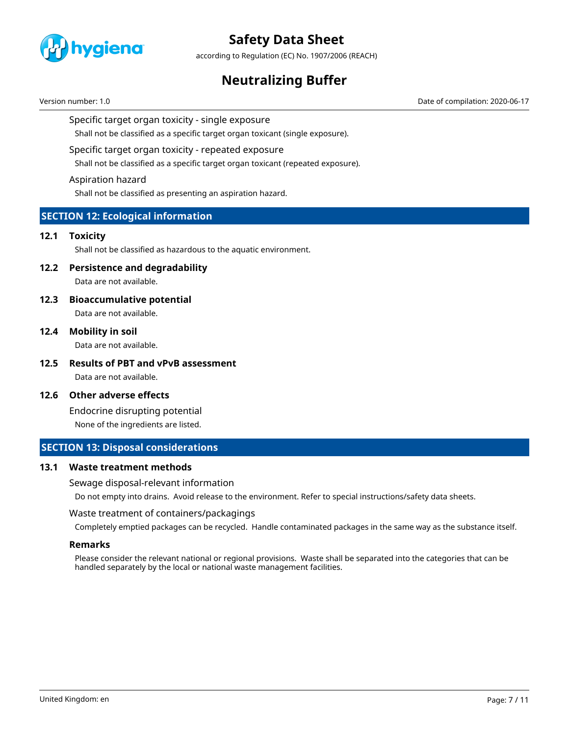

according to Regulation (EC) No. 1907/2006 (REACH)

# **Neutralizing Buffer**

Version number: 1.0 Date of compilation: 2020-06-17

## Specific target organ toxicity - single exposure

Shall not be classified as a specific target organ toxicant (single exposure).

## Specific target organ toxicity - repeated exposure

Shall not be classified as a specific target organ toxicant (repeated exposure).

## Aspiration hazard

Shall not be classified as presenting an aspiration hazard.

# **SECTION 12: Ecological information**

## **12.1 Toxicity**

Shall not be classified as hazardous to the aquatic environment.

# **12.2 Persistence and degradability**

Data are not available.

## **12.3 Bioaccumulative potential**

Data are not available.

# **12.4 Mobility in soil**

Data are not available.

**12.5 Results of PBT and vPvB assessment** Data are not available.

# **12.6 Other adverse effects**

Endocrine disrupting potential None of the ingredients are listed.

# **SECTION 13: Disposal considerations**

### **13.1 Waste treatment methods**

Sewage disposal-relevant information

Do not empty into drains. Avoid release to the environment. Refer to special instructions/safety data sheets.

### Waste treatment of containers/packagings

Completely emptied packages can be recycled. Handle contaminated packages in the same way as the substance itself.

## **Remarks**

Please consider the relevant national or regional provisions. Waste shall be separated into the categories that can be handled separately by the local or national waste management facilities.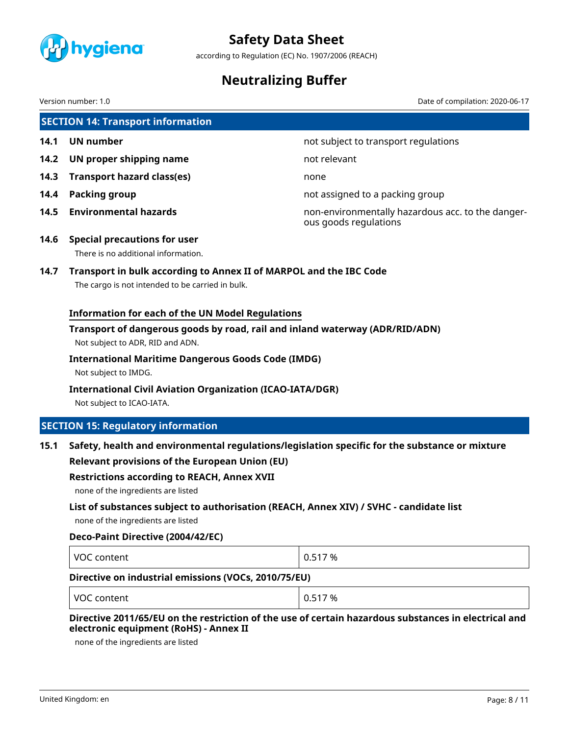

according to Regulation (EC) No. 1907/2006 (REACH)

# **Neutralizing Buffer**

Date of compilation: 2020-06-17

| Version number: 1.0 |  |
|---------------------|--|
|---------------------|--|

|      | <b>SECTION 14: Transport information</b>                                                                                                                                                                      |                                                                            |
|------|---------------------------------------------------------------------------------------------------------------------------------------------------------------------------------------------------------------|----------------------------------------------------------------------------|
| 14.1 | <b>UN number</b>                                                                                                                                                                                              | not subject to transport regulations                                       |
| 14.2 | UN proper shipping name                                                                                                                                                                                       | not relevant                                                               |
| 14.3 | <b>Transport hazard class(es)</b>                                                                                                                                                                             | none                                                                       |
| 14.4 | <b>Packing group</b>                                                                                                                                                                                          | not assigned to a packing group                                            |
| 14.5 | <b>Environmental hazards</b>                                                                                                                                                                                  | non-environmentally hazardous acc. to the danger-<br>ous goods regulations |
| 14.6 | <b>Special precautions for user</b><br>There is no additional information.                                                                                                                                    |                                                                            |
| 14.7 | Transport in bulk according to Annex II of MARPOL and the IBC Code<br>The cargo is not intended to be carried in bulk.                                                                                        |                                                                            |
|      | <b>Information for each of the UN Model Regulations</b>                                                                                                                                                       |                                                                            |
|      | Transport of dangerous goods by road, rail and inland waterway (ADR/RID/ADN)<br>Not subject to ADR, RID and ADN.                                                                                              |                                                                            |
|      | <b>International Maritime Dangerous Goods Code (IMDG)</b><br>Not subject to IMDG.                                                                                                                             |                                                                            |
|      | <b>International Civil Aviation Organization (ICAO-IATA/DGR)</b><br>Not subject to ICAO-IATA.                                                                                                                 |                                                                            |
|      | <b>SECTION 15: Regulatory information</b>                                                                                                                                                                     |                                                                            |
| 15.1 | Safety, health and environmental regulations/legislation specific for the substance or mixture<br><b>Relevant provisions of the European Union (EU)</b><br><b>Restrictions according to REACH, Annex XVII</b> |                                                                            |
|      | none of the ingredients are listed                                                                                                                                                                            |                                                                            |
|      | List of substances subject to authorisation (REACH, Annex XIV) / SVHC - candidate list<br>none of the ingredients are listed                                                                                  |                                                                            |

# **Deco-Paint Directive (2004/42/EC)**

|--|

# **Directive on industrial emissions (VOCs, 2010/75/EU)**

| VOC content | 0.517% |
|-------------|--------|
|-------------|--------|

# **Directive 2011/65/EU on the restriction of the use of certain hazardous substances in electrical and electronic equipment (RoHS) - Annex II**

none of the ingredients are listed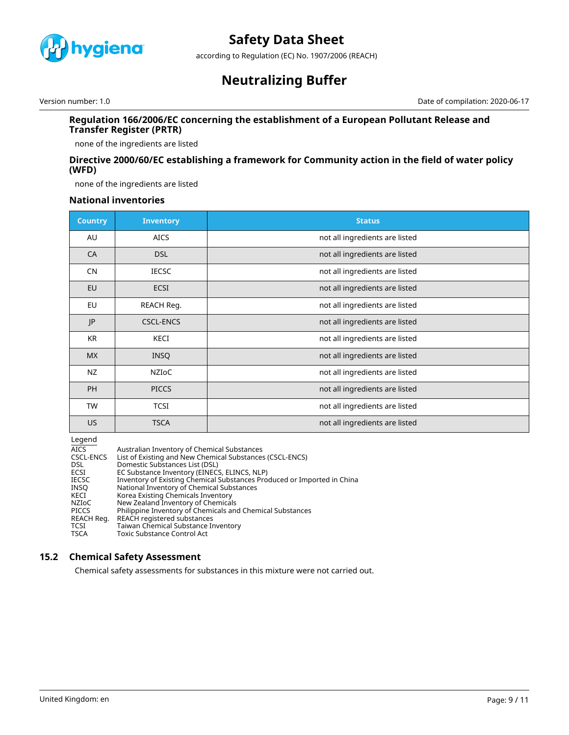

according to Regulation (EC) No. 1907/2006 (REACH)

# **Neutralizing Buffer**

Version number: 1.0 Date of compilation: 2020-06-17

# **Regulation 166/2006/EC concerning the establishment of a European Pollutant Release and Transfer Register (PRTR)**

none of the ingredients are listed

# **Directive 2000/60/EC establishing a framework for Community action in the field of water policy (WFD)**

none of the ingredients are listed

# **National inventories**

| <b>Country</b> | <b>Inventory</b> | <b>Status</b>                  |
|----------------|------------------|--------------------------------|
| AU             | <b>AICS</b>      | not all ingredients are listed |
| CA             | <b>DSL</b>       | not all ingredients are listed |
| <b>CN</b>      | <b>IECSC</b>     | not all ingredients are listed |
| EU             | <b>ECSI</b>      | not all ingredients are listed |
| EU             | REACH Reg.       | not all ingredients are listed |
| JP             | <b>CSCL-ENCS</b> | not all ingredients are listed |
| <b>KR</b>      | KECI             | not all ingredients are listed |
| <b>MX</b>      | <b>INSQ</b>      | not all ingredients are listed |
| NZ             | <b>NZIOC</b>     | not all ingredients are listed |
| <b>PH</b>      | <b>PICCS</b>     | not all ingredients are listed |
| <b>TW</b>      | <b>TCSI</b>      | not all ingredients are listed |
| US.            | <b>TSCA</b>      | not all ingredients are listed |

Legend

| -----            |                                                                         |
|------------------|-------------------------------------------------------------------------|
| <b>AICS</b>      | Australian Inventory of Chemical Substances                             |
| <b>CSCL-ENCS</b> | List of Existing and New Chemical Substances (CSCL-ENCS)                |
| <b>DSL</b>       | Domestic Substances List (DSL)                                          |
| ECSI             | EC Substance Inventory (EINECS, ELINCS, NLP)                            |
| <b>IECSC</b>     | Inventory of Existing Chemical Substances Produced or Imported in China |
| INSO             | National Inventory of Chemical Substances                               |
| KECI             | Korea Existing Chemicals Inventory                                      |
| NZIoC            | New Zealand Inventory of Chemicals                                      |
| PICCS            | Philippine Inventory of Chemicals and Chemical Substances               |
| REACH Reg.       | REACH registered substances                                             |
| TCSI             | Taiwan Chemical Substance Inventory                                     |
| <b>TSCA</b>      | Toxic Substance Control Act                                             |

# **15.2 Chemical Safety Assessment**

Chemical safety assessments for substances in this mixture were not carried out.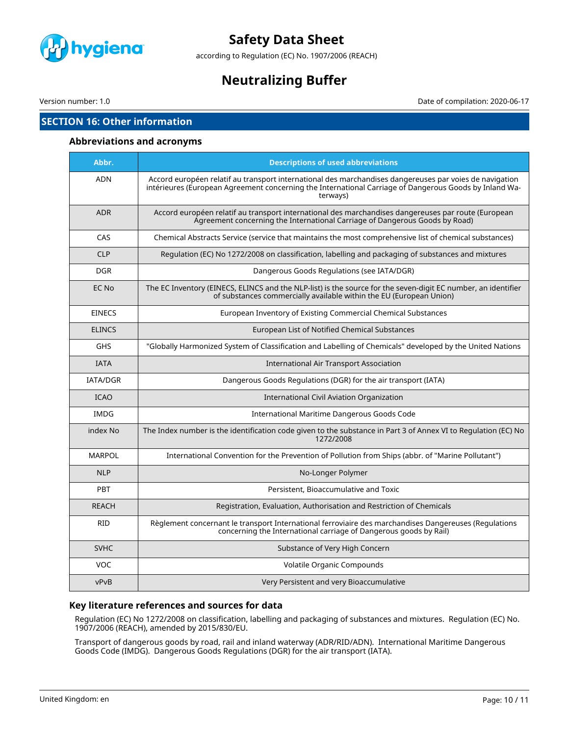

according to Regulation (EC) No. 1907/2006 (REACH)

# **Neutralizing Buffer**

Version number: 1.0 Date of compilation: 2020-06-17

# **SECTION 16: Other information**

## **Abbreviations and acronyms**

| Abbr.           | <b>Descriptions of used abbreviations</b>                                                                                                                                                                                     |
|-----------------|-------------------------------------------------------------------------------------------------------------------------------------------------------------------------------------------------------------------------------|
| <b>ADN</b>      | Accord européen relatif au transport international des marchandises dangereuses par voies de navigation<br>intérieures (European Agreement concerning the International Carriage of Dangerous Goods by Inland Wa-<br>terways) |
| <b>ADR</b>      | Accord européen relatif au transport international des marchandises dangereuses par route (European<br>Agreement concerning the International Carriage of Dangerous Goods by Road)                                            |
| CAS             | Chemical Abstracts Service (service that maintains the most comprehensive list of chemical substances)                                                                                                                        |
| <b>CLP</b>      | Regulation (EC) No 1272/2008 on classification, labelling and packaging of substances and mixtures                                                                                                                            |
| <b>DGR</b>      | Dangerous Goods Regulations (see IATA/DGR)                                                                                                                                                                                    |
| EC No           | The EC Inventory (EINECS, ELINCS and the NLP-list) is the source for the seven-digit EC number, an identifier<br>of substances commercially available within the EU (European Union)                                          |
| <b>EINECS</b>   | European Inventory of Existing Commercial Chemical Substances                                                                                                                                                                 |
| <b>ELINCS</b>   | European List of Notified Chemical Substances                                                                                                                                                                                 |
| <b>GHS</b>      | "Globally Harmonized System of Classification and Labelling of Chemicals" developed by the United Nations                                                                                                                     |
| <b>IATA</b>     | <b>International Air Transport Association</b>                                                                                                                                                                                |
| <b>IATA/DGR</b> | Dangerous Goods Regulations (DGR) for the air transport (IATA)                                                                                                                                                                |
| <b>ICAO</b>     | <b>International Civil Aviation Organization</b>                                                                                                                                                                              |
| <b>IMDG</b>     | International Maritime Dangerous Goods Code                                                                                                                                                                                   |
| index No        | The Index number is the identification code given to the substance in Part 3 of Annex VI to Regulation (EC) No<br>1272/2008                                                                                                   |
| <b>MARPOL</b>   | International Convention for the Prevention of Pollution from Ships (abbr. of "Marine Pollutant")                                                                                                                             |
| <b>NLP</b>      | No-Longer Polymer                                                                                                                                                                                                             |
| <b>PBT</b>      | Persistent, Bioaccumulative and Toxic                                                                                                                                                                                         |
| <b>REACH</b>    | Registration, Evaluation, Authorisation and Restriction of Chemicals                                                                                                                                                          |
| <b>RID</b>      | Règlement concernant le transport International ferroviaire des marchandises Dangereuses (Regulations<br>concerning the International carriage of Dangerous goods by Rail)                                                    |
| <b>SVHC</b>     | Substance of Very High Concern                                                                                                                                                                                                |
| VOC.            | Volatile Organic Compounds                                                                                                                                                                                                    |
| vPvB            | Very Persistent and very Bioaccumulative                                                                                                                                                                                      |

# **Key literature references and sources for data**

Regulation (EC) No 1272/2008 on classification, labelling and packaging of substances and mixtures. Regulation (EC) No. 1907/2006 (REACH), amended by 2015/830/EU.

Transport of dangerous goods by road, rail and inland waterway (ADR/RID/ADN). International Maritime Dangerous Goods Code (IMDG). Dangerous Goods Regulations (DGR) for the air transport (IATA).